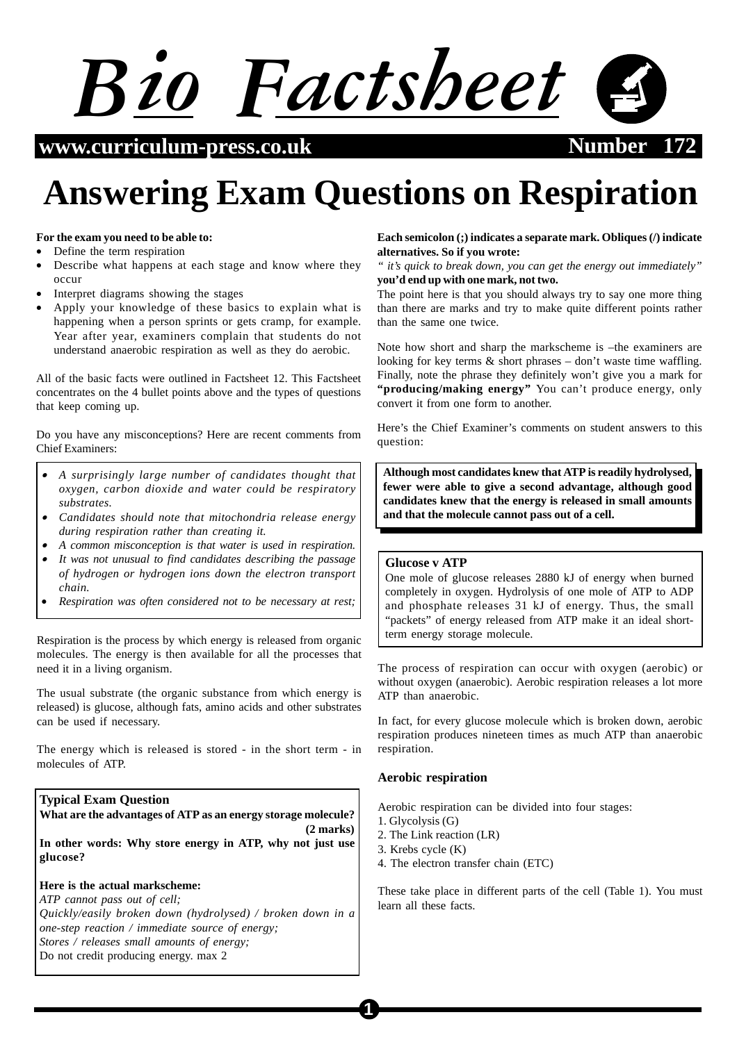# *Bio Factsheet*

**www.curriculum-press.co.uk Number 172**

# **Answering Exam Questions on Respiration**

# **For the exam you need to be able to:**

• Define the term respiration

- Describe what happens at each stage and know where they occur
- Interpret diagrams showing the stages
- Apply your knowledge of these basics to explain what is happening when a person sprints or gets cramp, for example. Year after year, examiners complain that students do not understand anaerobic respiration as well as they do aerobic.

All of the basic facts were outlined in Factsheet 12. This Factsheet concentrates on the 4 bullet points above and the types of questions that keep coming up.

Do you have any misconceptions? Here are recent comments from Chief Examiners:

- *A surprisingly large number of candidates thought that oxygen, carbon dioxide and water could be respiratory substrates.*
- *Candidates should note that mitochondria release energy during respiration rather than creating it.*
- *A common misconception is that water is used in respiration.*
- *It was not unusual to find candidates describing the passage of hydrogen or hydrogen ions down the electron transport chain.*
- *Respiration was often considered not to be necessary at rest;*

Respiration is the process by which energy is released from organic molecules. The energy is then available for all the processes that need it in a living organism.

The usual substrate (the organic substance from which energy is released) is glucose, although fats, amino acids and other substrates can be used if necessary.

The energy which is released is stored - in the short term - in molecules of ATP.

# **Typical Exam Question**

**What are the advantages of ATP as an energy storage molecule? (2 marks)**

**In other words: Why store energy in ATP, why not just use glucose?**

#### **Here is the actual markscheme:**

*ATP cannot pass out of cell; Quickly/easily broken down (hydrolysed) / broken down in a one-step reaction / immediate source of energy; Stores / releases small amounts of energy;* Do not credit producing energy. max 2

**Each semicolon (;) indicates a separate mark. Obliques (/) indicate alternatives. So if you wrote:**

*" it's quick to break down, you can get the energy out immediately"* **you'd end up with one mark, not two.**

The point here is that you should always try to say one more thing than there are marks and try to make quite different points rather than the same one twice.

Note how short and sharp the markscheme is –the examiners are looking for key terms  $\&$  short phrases – don't waste time waffling. Finally, note the phrase they definitely won't give you a mark for **"producing/making energy"** You can't produce energy, only convert it from one form to another.

Here's the Chief Examiner's comments on student answers to this question:

**Although most candidates knew that ATP is readily hydrolysed, fewer were able to give a second advantage, although good candidates knew that the energy is released in small amounts and that the molecule cannot pass out of a cell.**

#### **Glucose v ATP**

One mole of glucose releases 2880 kJ of energy when burned completely in oxygen. Hydrolysis of one mole of ATP to ADP and phosphate releases 31 kJ of energy. Thus, the small "packets" of energy released from ATP make it an ideal shortterm energy storage molecule.

The process of respiration can occur with oxygen (aerobic) or without oxygen (anaerobic). Aerobic respiration releases a lot more ATP than anaerobic.

In fact, for every glucose molecule which is broken down, aerobic respiration produces nineteen times as much ATP than anaerobic respiration.

# **Aerobic respiration**

Aerobic respiration can be divided into four stages:

1. Glycolysis (G) 2. The Link reaction (LR)

**1**

- 3. Krebs cycle (K)
- 4. The electron transfer chain (ETC)

These take place in different parts of the cell (Table 1). You must learn all these facts.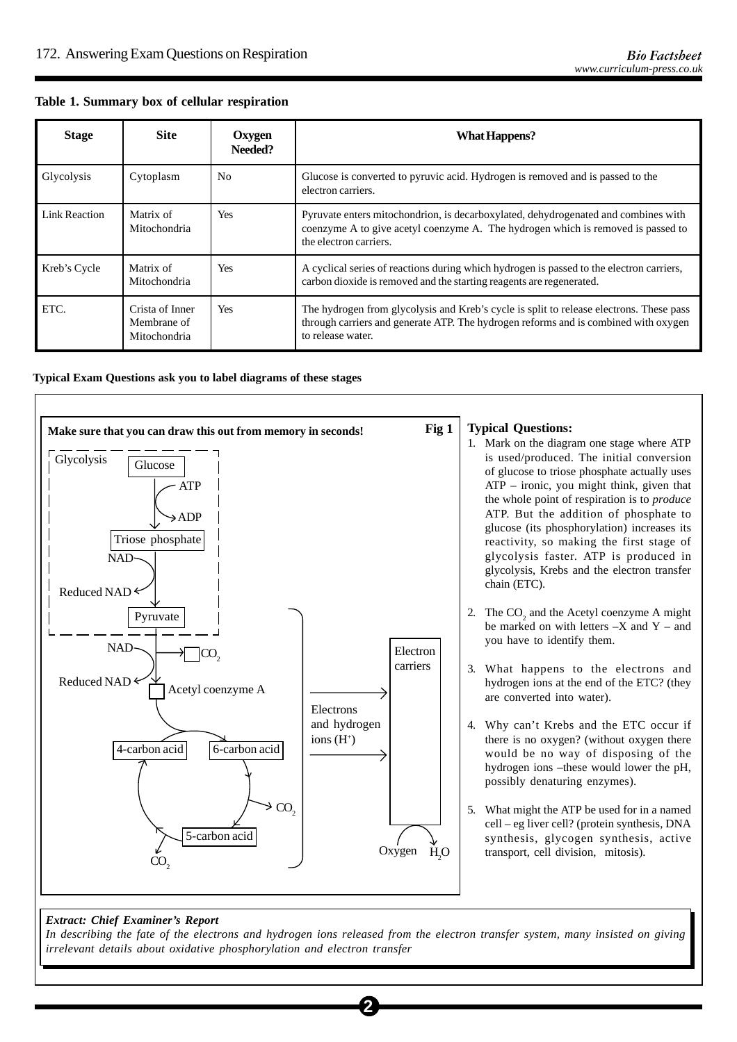| Table 1. Summary box of cellular respiration |  |  |  |  |  |
|----------------------------------------------|--|--|--|--|--|
|----------------------------------------------|--|--|--|--|--|

| <b>Stage</b>         | <b>Site</b>                                    | Oxygen<br>Needed? | What Happens?                                                                                                                                                                                       |
|----------------------|------------------------------------------------|-------------------|-----------------------------------------------------------------------------------------------------------------------------------------------------------------------------------------------------|
| Glycolysis           | Cytoplasm                                      | N <sub>0</sub>    | Glucose is converted to pyruvic acid. Hydrogen is removed and is passed to the<br>electron carriers.                                                                                                |
| <b>Link Reaction</b> | Matrix of<br>Mitochondria                      | <b>Yes</b>        | Pyruvate enters mitochondrion, is decarboxylated, dehydrogenated and combines with<br>coenzyme A to give acetyl coenzyme A. The hydrogen which is removed is passed to<br>the electron carriers.    |
| Kreb's Cycle         | Matrix of<br>Mitochondria                      | Yes               | A cyclical series of reactions during which hydrogen is passed to the electron carriers,<br>carbon dioxide is removed and the starting reagents are regenerated.                                    |
| ETC.                 | Crista of Inner<br>Membrane of<br>Mitochondria | <b>Yes</b>        | The hydrogen from glycolysis and Kreb's cycle is split to release electrons. These pass<br>through carriers and generate ATP. The hydrogen reforms and is combined with oxygen<br>to release water. |

| Typical Exam Questions ask you to label diagrams of these stages |  |  |  |
|------------------------------------------------------------------|--|--|--|
|------------------------------------------------------------------|--|--|--|



#### *Extract: Chief Examiner's Report*

*In describing the fate of the electrons and hydrogen ions released from the electron transfer system, many insisted on giving irrelevant details about oxidative phosphorylation and electron transfer*

**2**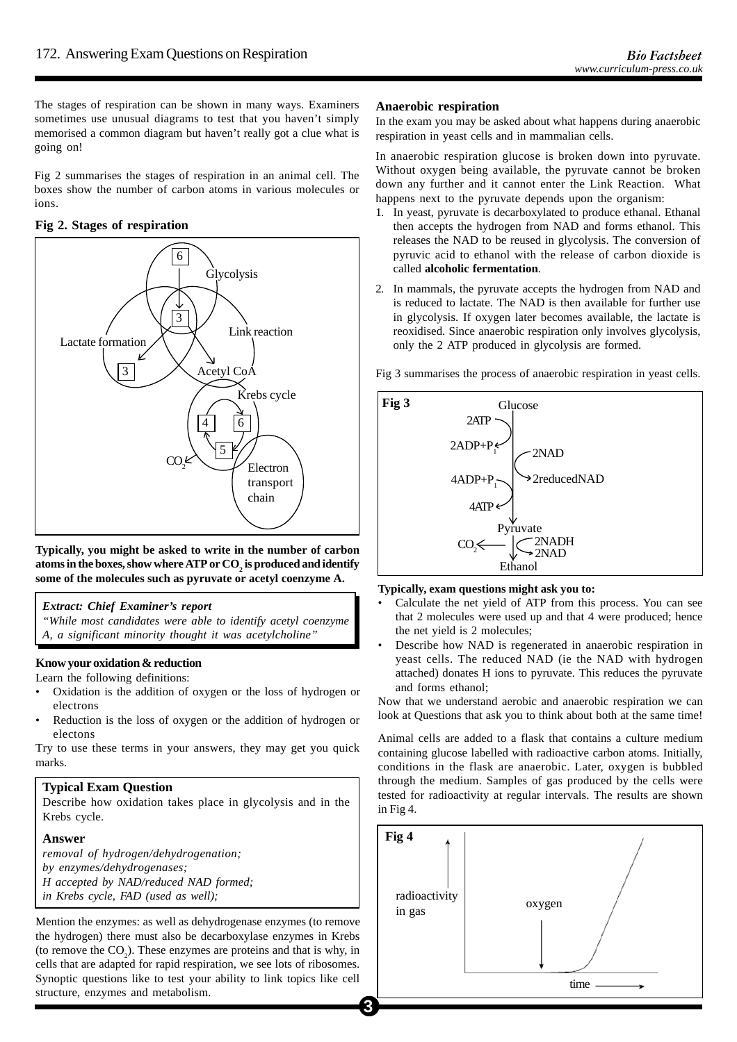The stages of respiration can be shown in many ways. Examiners sometimes use unusual diagrams to test that you haven't simply memorised a common diagram but haven't really got a clue what is going on!

Fig 2 summarises the stages of respiration in an animal cell. The boxes show the number of carbon atoms in various molecules or ions.

**Fig 2. Stages of respiration**



**Typically, you might be asked to write in the number of carbon** atoms in the boxes, show where ATP or  $\mathrm{CO}_2$  is produced and identify **some of the molecules such as pyruvate or acetyl coenzyme A.**

#### *Extract: Chief Examiner's report*

*"While most candidates were able to identify acetyl coenzyme A, a significant minority thought it was acetylcholine"*

#### **Know your oxidation & reduction**

Learn the following definitions:

- Oxidation is the addition of oxygen or the loss of hydrogen or electrons
- Reduction is the loss of oxygen or the addition of hydrogen or electons

Try to use these terms in your answers, they may get you quick marks.

#### **Typical Exam Question**

Describe how oxidation takes place in glycolysis and in the Krebs cycle.

#### **Answer**

*removal of hydrogen/dehydrogenation; by enzymes/dehydrogenases; H accepted by NAD/reduced NAD formed; in Krebs cycle, FAD (used as well);*

Mention the enzymes: as well as dehydrogenase enzymes (to remove the hydrogen) there must also be decarboxylase enzymes in Krebs (to remove the  $CO<sub>2</sub>$ ). These enzymes are proteins and that is why, in cells that are adapted for rapid respiration, we see lots of ribosomes. Synoptic questions like to test your ability to link topics like cell structure, enzymes and metabolism.

#### **Anaerobic respiration**

In the exam you may be asked about what happens during anaerobic respiration in yeast cells and in mammalian cells.

In anaerobic respiration glucose is broken down into pyruvate. Without oxygen being available, the pyruvate cannot be broken down any further and it cannot enter the Link Reaction. What happens next to the pyruvate depends upon the organism:

- 1. In yeast, pyruvate is decarboxylated to produce ethanal. Ethanal then accepts the hydrogen from NAD and forms ethanol. This releases the NAD to be reused in glycolysis. The conversion of pyruvic acid to ethanol with the release of carbon dioxide is called **alcoholic fermentation**.
- 2. In mammals, the pyruvate accepts the hydrogen from NAD and is reduced to lactate. The NAD is then available for further use in glycolysis. If oxygen later becomes available, the lactate is reoxidised. Since anaerobic respiration only involves glycolysis, only the 2 ATP produced in glycolysis are formed.

Fig 3 summarises the process of anaerobic respiration in yeast cells.



#### **Typically, exam questions might ask you to:**

- Calculate the net yield of ATP from this process. You can see that 2 molecules were used up and that 4 were produced; hence the net yield is 2 molecules;
- Describe how NAD is regenerated in anaerobic respiration in yeast cells. The reduced NAD (ie the NAD with hydrogen attached) donates H ions to pyruvate. This reduces the pyruvate and forms ethanol;

Now that we understand aerobic and anaerobic respiration we can look at Questions that ask you to think about both at the same time!

Animal cells are added to a flask that contains a culture medium containing glucose labelled with radioactive carbon atoms. Initially, conditions in the flask are anaerobic. Later, oxygen is bubbled through the medium. Samples of gas produced by the cells were tested for radioactivity at regular intervals. The results are shown in Fig 4.